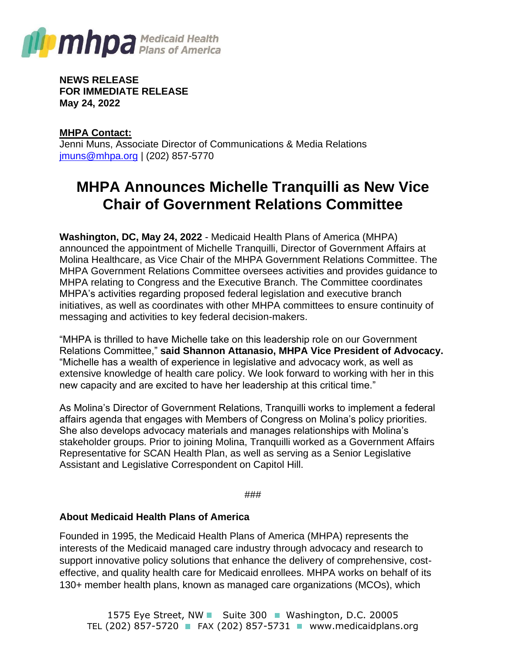

**NEWS RELEASE FOR IMMEDIATE RELEASE May 24, 2022**

**MHPA Contact:** Jenni Muns, Associate Director of Communications & Media Relations [jmuns@mhpa.org](mailto:jmuns@mhpa.org) | (202) 857-5770

## **MHPA Announces Michelle Tranquilli as New Vice Chair of Government Relations Committee**

**Washington, DC, May 24, 2022** - Medicaid Health Plans of America (MHPA) announced the appointment of Michelle Tranquilli, Director of Government Affairs at Molina Healthcare, as Vice Chair of the MHPA Government Relations Committee. The MHPA Government Relations Committee oversees activities and provides guidance to MHPA relating to Congress and the Executive Branch. The Committee coordinates MHPA's activities regarding proposed federal legislation and executive branch initiatives, as well as coordinates with other MHPA committees to ensure continuity of messaging and activities to key federal decision-makers.

"MHPA is thrilled to have Michelle take on this leadership role on our Government Relations Committee," **said Shannon Attanasio, MHPA Vice President of Advocacy.** "Michelle has a wealth of experience in legislative and advocacy work, as well as extensive knowledge of health care policy. We look forward to working with her in this new capacity and are excited to have her leadership at this critical time."

As Molina's Director of Government Relations, Tranquilli works to implement a federal affairs agenda that engages with Members of Congress on Molina's policy priorities. She also develops advocacy materials and manages relationships with Molina's stakeholder groups. Prior to joining Molina, Tranquilli worked as a Government Affairs Representative for SCAN Health Plan, as well as serving as a Senior Legislative Assistant and Legislative Correspondent on Capitol Hill.

###

## **About Medicaid Health Plans of America**

Founded in 1995, the Medicaid Health Plans of America (MHPA) represents the interests of the Medicaid managed care industry through advocacy and research to support innovative policy solutions that enhance the delivery of comprehensive, costeffective, and quality health care for Medicaid enrollees. MHPA works on behalf of its 130+ member health plans, known as managed care organizations (MCOs), which

1575 Eye Street, NW Suite 300 Washington, D.C. 20005 TEL (202) 857-5720 **FAX (202) 857-5731** www.medicaidplans.org